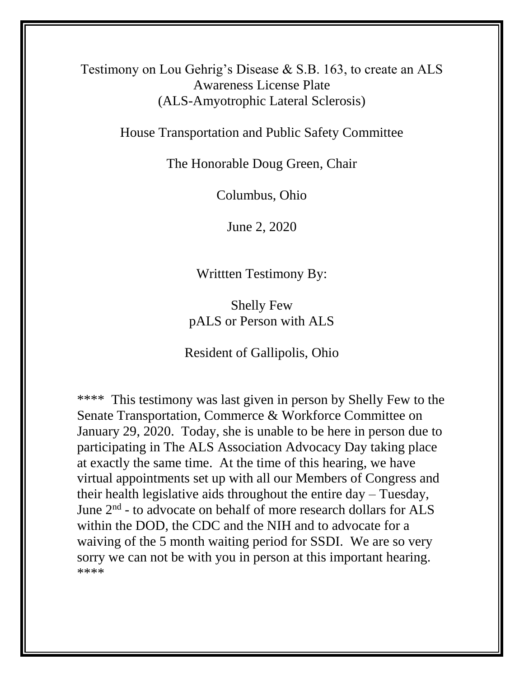Testimony on Lou Gehrig's Disease & S.B. 163, to create an ALS Awareness License Plate (ALS-Amyotrophic Lateral Sclerosis)

House Transportation and Public Safety Committee

The Honorable Doug Green, Chair

Columbus, Ohio

June 2, 2020

Writtten Testimony By:

Shelly Few pALS or Person with ALS

Resident of Gallipolis, Ohio

\*\*\*\* This testimony was last given in person by Shelly Few to the Senate Transportation, Commerce & Workforce Committee on January 29, 2020. Today, she is unable to be here in person due to participating in The ALS Association Advocacy Day taking place at exactly the same time. At the time of this hearing, we have virtual appointments set up with all our Members of Congress and their health legislative aids throughout the entire day – Tuesday, June 2<sup>nd</sup> - to advocate on behalf of more research dollars for ALS within the DOD, the CDC and the NIH and to advocate for a waiving of the 5 month waiting period for SSDI. We are so very sorry we can not be with you in person at this important hearing. \*\*\*\*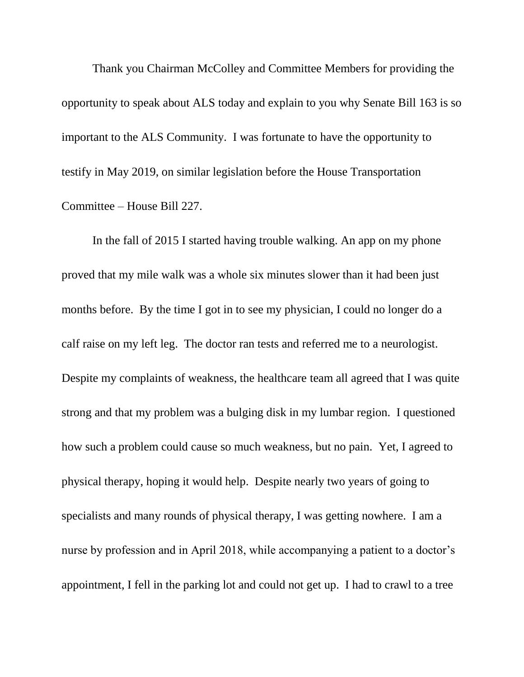Thank you Chairman McColley and Committee Members for providing the opportunity to speak about ALS today and explain to you why Senate Bill 163 is so important to the ALS Community. I was fortunate to have the opportunity to testify in May 2019, on similar legislation before the House Transportation Committee – House Bill 227.

In the fall of 2015 I started having trouble walking. An app on my phone proved that my mile walk was a whole six minutes slower than it had been just months before. By the time I got in to see my physician, I could no longer do a calf raise on my left leg. The doctor ran tests and referred me to a neurologist. Despite my complaints of weakness, the healthcare team all agreed that I was quite strong and that my problem was a bulging disk in my lumbar region. I questioned how such a problem could cause so much weakness, but no pain. Yet, I agreed to physical therapy, hoping it would help. Despite nearly two years of going to specialists and many rounds of physical therapy, I was getting nowhere. I am a nurse by profession and in April 2018, while accompanying a patient to a doctor's appointment, I fell in the parking lot and could not get up. I had to crawl to a tree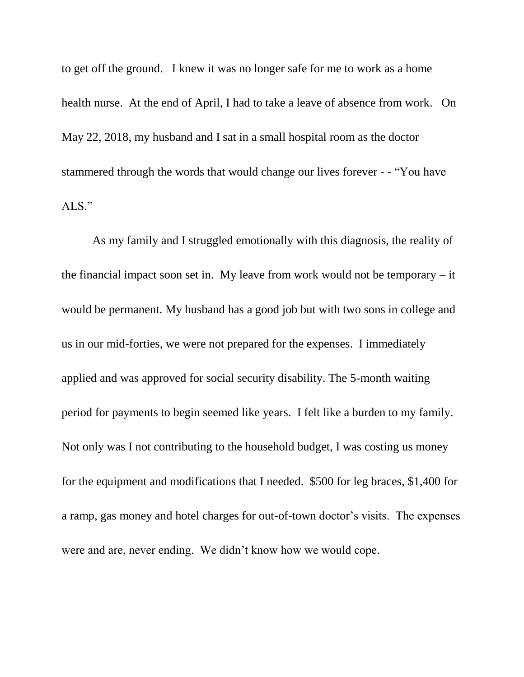to get off the ground. I knew it was no longer safe for me to work as a home health nurse. At the end of April, I had to take a leave of absence from work. On May 22, 2018, my husband and I sat in a small hospital room as the doctor stammered through the words that would change our lives forever - - "You have ALS."

As my family and I struggled emotionally with this diagnosis, the reality of the financial impact soon set in. My leave from work would not be temporary  $-$  it would be permanent. My husband has a good job but with two sons in college and us in our mid-forties, we were not prepared for the expenses. I immediately applied and was approved for social security disability. The 5-month waiting period for payments to begin seemed like years. I felt like a burden to my family. Not only was I not contributing to the household budget, I was costing us money for the equipment and modifications that I needed. \$500 for leg braces, \$1,400 for a ramp, gas money and hotel charges for out-of-town doctor's visits. The expenses were and are, never ending. We didn't know how we would cope.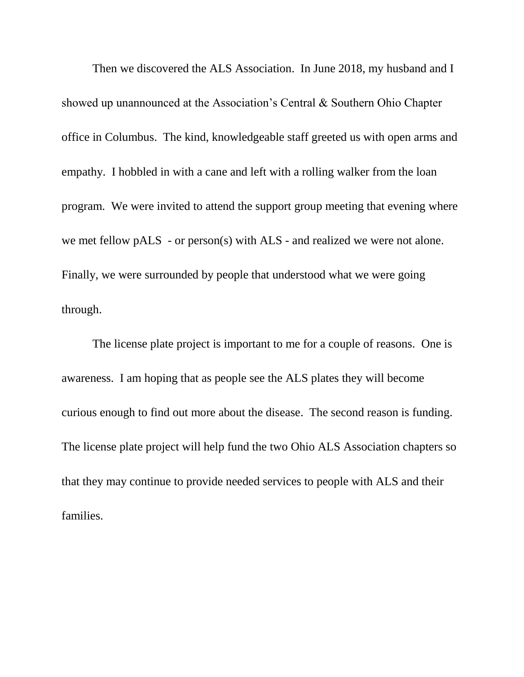Then we discovered the ALS Association. In June 2018, my husband and I showed up unannounced at the Association's Central & Southern Ohio Chapter office in Columbus. The kind, knowledgeable staff greeted us with open arms and empathy. I hobbled in with a cane and left with a rolling walker from the loan program. We were invited to attend the support group meeting that evening where we met fellow pALS - or person(s) with ALS - and realized we were not alone. Finally, we were surrounded by people that understood what we were going through.

The license plate project is important to me for a couple of reasons. One is awareness. I am hoping that as people see the ALS plates they will become curious enough to find out more about the disease. The second reason is funding. The license plate project will help fund the two Ohio ALS Association chapters so that they may continue to provide needed services to people with ALS and their families.